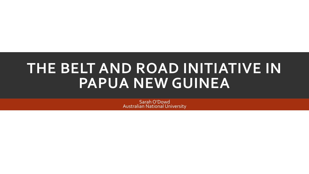# **THE BELT AND ROAD INITIATIVE IN PAPUA NEW GUINEA**

Sarah O'Dowd Australian National University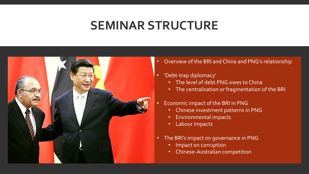## **SEMINAR STRUCTURE**



- Overview of the BRI and China and PNG's relationship
- 'Debt-trap diplomacy'
	- The level of debt PNG owes to China
	- The centralisation or fragmentation of the BRI
- Economic impact of the BRI in PNG
	- Chinese investment patterns in PNG
	- Environmental impacts
	- Labour impacts
- The BRI's impact on governance in PNG
	- Impact on corruption
	- Chinese-Australian competition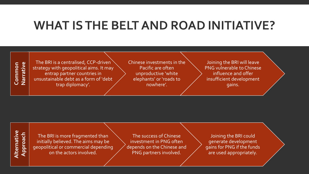## **WHAT IS THE BELT AND ROAD INITIATIVE?**

#### Narrative **NarrativeCommon**

The BRI is a centralised, CCP-driven strategy with geopolitical aims. It may entrap partner countries in unsustainable debt as a form of 'debt trap diplomacy'.

Chinese investments in the Pacific are often unproductive 'white elephants' or 'roads to nowhere'.

Joining the BRI will leave PNG vulnerable to Chinese influence and offer insufficient development gains.

#### **Alternative**  Alternative **Approach**

The BRI is more fragmented than initially believed. The aims may be geopolitical or commercial depending on the actors involved.

The success of Chinese investment in PNG often depends on the Chinese and PNG partners involved.

Joining the BRI could generate development gains for PNG if the funds are used appropriately.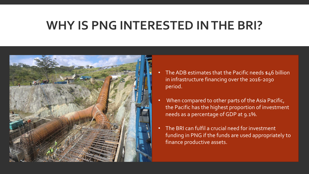## **WHY IS PNG INTERESTED IN THE BRI?**



- The ADB estimates that the Pacific needs \$46 billion in infrastructure financing over the 2016-2030 period.
- When compared to other parts of the Asia Pacific, the Pacific has the highest proportion of investment needs as a percentage of GDP at 9.1%.
- The BRI can fulfil a crucial need for investment funding in PNG if the funds are used appropriately to finance productive assets.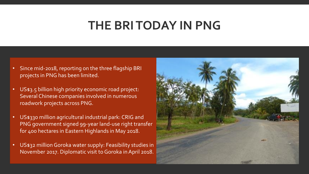## **THE BRI TODAY IN PNG**

- Since mid-2018, reporting on the three flagship BRI projects in PNG has been limited.
- US\$3.5 billion high priority economic road project: Several Chinese companies involved in numerous roadwork projects across PNG.
- US\$330 million agricultural industrial park: CRIG and PNG government signed 99-year land-use right transfer for 400 hectares in Eastern Highlands in May 2018.
- US\$32 million Goroka water supply: Feasibility studies in November 2017. Diplomatic visit to Goroka in April 2018.

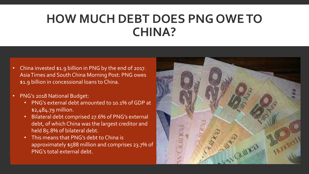## **HOW MUCH DEBT DOES PNG OWE TO CHINA?**

- China invested \$1.9 billion in PNG by the end of 2017. Asia Times and South China Morning Post: PNG owes \$1.9 billion in concessional loans to China.
- PNG's 2018 National Budget:
	- PNG's external debt amounted to 10.1% of GDP at \$2,484.79 million.
	- Bilateral debt comprised 27.6% of PNG's external debt, of which China was the largest creditor and held 85.8% of bilateral debt.
	- This means that PNG's debt to China is approximately \$588 million and comprises 23.7% of PNG's total external debt.

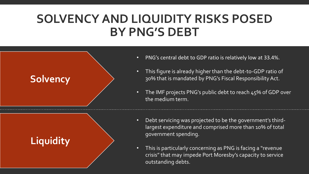## **SOLVENCY AND LIQUIDITY RISKS POSED BY PNG'S DEBT**

### **Solvency**

## **Liquidity**

- PNG's central debt to GDP ratio is relatively low at 33.4%.
- This figure is already higher than the debt-to-GDP ratio of 30% that is mandated by PNG's Fiscal Responsibility Act.
- The IMF projects PNG's public debt to reach 45% of GDP over the medium term.
- Debt servicing was projected to be the government's thirdlargest expenditure and comprised more than 10% of total government spending.
- This is particularly concerning as PNG is facing a "revenue crisis" that may impede Port Moresby's capacity to service outstanding debts.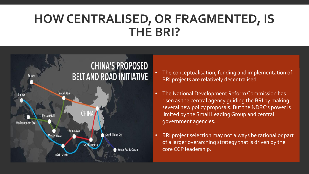## **HOW CENTRALISED, OR FRAGMENTED, IS THE BRI?**



- The conceptualisation, funding and implementation of BRI projects are relatively decentralised.
- The National Development Reform Commission has risen as the central agency guiding the BRI by making several new policy proposals. But the NDRC's power is limited by the Small Leading Group and central government agencies.
- BRI project selection may not always be rational or part of a larger overarching strategy that is driven by the core CCP leadership.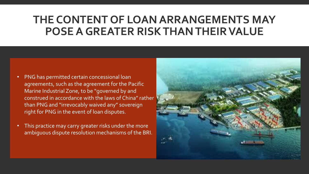## **THE CONTENT OF LOAN ARRANGEMENTS MAY POSE A GREATER RISK THAN THEIR VALUE**

- PNG has permitted certain concessional loan agreements, such as the agreement for the Pacific Marine Industrial Zone, to be "governed by and construed in accordance with the laws of China" rather than PNG and "irrevocably waived any" sovereign right for PNG in the event of loan disputes.
- This practice may carry greater risks under the more ambiguous dispute resolution mechanisms of the BRI.

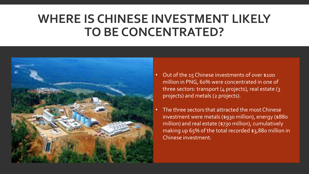## **WHERE IS CHINESE INVESTMENT LIKELY TO BE CONCENTRATED?**



- Out of the 15 Chinese investments of over \$100 million in PNG, 60% were concentrated in one of three sectors: transport (4 projects), real estate (3 projects) and metals (2 projects).
- The three sectors that attracted the most Chinese investment were metals (\$930 million), energy (\$880 million) and real estate (\$730 million), cumulatively making up 65% of the total recorded \$3,880 million in Chinese investment.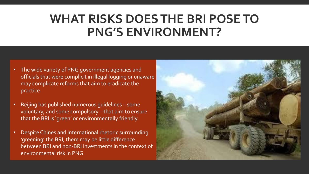## **WHAT RISKS DOES THE BRI POSE TO PNG'S ENVIRONMENT?**

- The wide variety of PNG government agencies and officials that were complicit in illegal logging or unaware may complicate reforms that aim to eradicate the practice.
- Beijing has published numerous guidelines some voluntary, and some compulsory – that aim to ensure that the BRI is 'green' or environmentally friendly.
- Despite Chines and international rhetoric surrounding 'greening' the BRI, there may be little difference between BRI and non-BRI investments in the context of environmental risk in PNG.

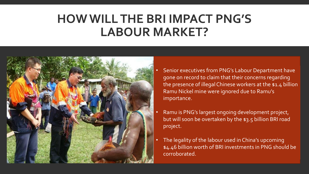## **HOW WILL THE BRI IMPACT PNG'S LABOUR MARKET?**



- Senior executives from PNG's Labour Department have gone on record to claim that their concerns regarding the presence of illegal Chinese workers at the \$1.4 billion Ramu Nickel mine were ignored due to Ramu's importance.
- Ramu is PNG's largest ongoing development project, but will soon be overtaken by the \$3.5 billion BRI road project.
- The legality of the labour used in China's upcoming  $\frac{1}{2}$ \$4.46 billion worth of BRI investments in PNG should be corroborated.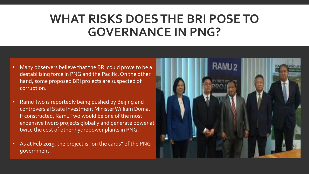## **WHAT RISKS DOES THE BRI POSE TO GOVERNANCE IN PNG?**

- Many observers believe that the BRI could prove to be a destabilising force in PNG and the Pacific. On the other hand, some proposed BRI projects are suspected of corruption.
- Ramu Two is reportedly being pushed by Beijing and controversial State Investment Minister William Duma. If constructed, Ramu Two would be one of the most expensive hydro projects globally and generate power at twice the cost of other hydropower plants in PNG.
- As at Feb 2019, the project is "on the cards" of the PNG government.

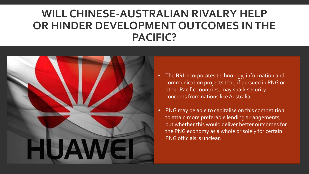### **WILL CHINESE-AUSTRALIAN RIVALRY HELP OR HINDER DEVELOPMENT OUTCOMES IN THE PACIFIC?**



- The BRI incorporates technology, information and communication projects that, if pursued in PNG or other Pacific countries, may spark security concerns from nations like Australia.
- PNG may be able to capitalise on this competition to attain more preferable lending arrangements, but whether this would deliver better outcomes for the PNG economy as a whole or solely for certain PNG officials is unclear.